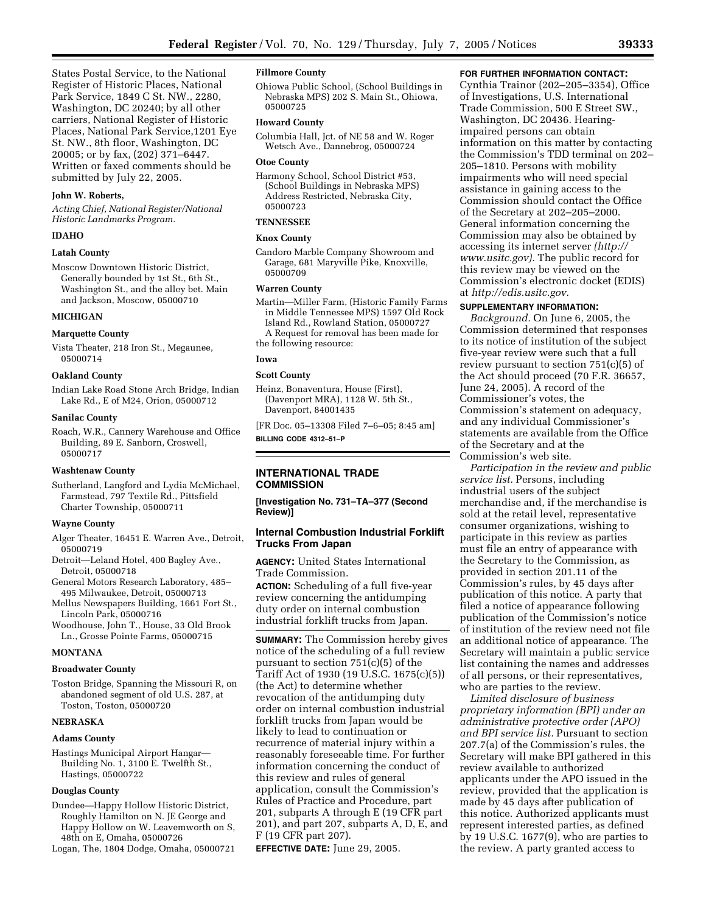States Postal Service, to the National Register of Historic Places, National Park Service, 1849 C St. NW., 2280, Washington, DC 20240; by all other carriers, National Register of Historic Places, National Park Service,1201 Eye St. NW., 8th floor, Washington, DC 20005; or by fax, (202) 371–6447. Written or faxed comments should be submitted by July 22, 2005.

## **John W. Roberts,**

*Acting Chief, National Register/National Historic Landmarks Program.*

### **IDAHO**

## **Latah County**

Moscow Downtown Historic District, Generally bounded by 1st St., 6th St., Washington St., and the alley bet. Main and Jackson, Moscow, 05000710

## **MICHIGAN**

#### **Marquette County**

Vista Theater, 218 Iron St., Megaunee, 05000714

## **Oakland County**

Indian Lake Road Stone Arch Bridge, Indian Lake Rd., E of M24, Orion, 05000712

### **Sanilac County**

Roach, W.R., Cannery Warehouse and Office Building, 89 E. Sanborn, Croswell, 05000717

### **Washtenaw County**

Sutherland, Langford and Lydia McMichael, Farmstead, 797 Textile Rd., Pittsfield Charter Township, 05000711

## **Wayne County**

- Alger Theater, 16451 E. Warren Ave., Detroit, 05000719
- Detroit—Leland Hotel, 400 Bagley Ave., Detroit, 05000718
- General Motors Research Laboratory, 485– 495 Milwaukee, Detroit, 05000713
- Mellus Newspapers Building, 1661 Fort St., Lincoln Park, 05000716
- Woodhouse, John T., House, 33 Old Brook Ln., Grosse Pointe Farms, 05000715

#### **MONTANA**

## **Broadwater County**

Toston Bridge, Spanning the Missouri R, on abandoned segment of old U.S. 287, at Toston, Toston, 05000720

## **NEBRASKA**

# **Adams County**

Hastings Municipal Airport Hangar— Building No. 1, 3100 E. Twelfth St., Hastings, 05000722

## **Douglas County**

- Dundee—Happy Hollow Historic District, Roughly Hamilton on N. JE George and Happy Hollow on W. Leavemworth on S, 48th on E, Omaha, 05000726
- Logan, The, 1804 Dodge, Omaha, 05000721

## **Fillmore County**

Ohiowa Public School, (School Buildings in Nebraska MPS) 202 S. Main St., Ohiowa, 05000725

#### **Howard County**

Columbia Hall, Jct. of NE 58 and W. Roger Wetsch Ave., Dannebrog, 05000724

#### **Otoe County**

Harmony School, School District #53, (School Buildings in Nebraska MPS) Address Restricted, Nebraska City, 05000723

## **TENNESSEE**

## **Knox County**

Candoro Marble Company Showroom and Garage, 681 Maryville Pike, Knoxville, 05000709

### **Warren County**

- Martin—Miller Farm, (Historic Family Farms in Middle Tennessee MPS) 1597 Old Rock Island Rd., Rowland Station, 05000727 A Request for removal has been made for
- the following resource:

### **Iowa**

## **Scott County**

Heinz, Bonaventura, House (First), (Davenport MRA), 1128 W. 5th St., Davenport, 84001435

[FR Doc. 05–13308 Filed 7–6–05; 8:45 am] **BILLING CODE 4312–51–P**

## **INTERNATIONAL TRADE COMMISSION**

**[Investigation No. 731–TA–377 (Second Review)]** 

## **Internal Combustion Industrial Forklift Trucks From Japan**

**AGENCY:** United States International Trade Commission.

**ACTION:** Scheduling of a full five-year review concerning the antidumping duty order on internal combustion industrial forklift trucks from Japan.

**SUMMARY:** The Commission hereby gives notice of the scheduling of a full review pursuant to section 751(c)(5) of the Tariff Act of 1930 (19 U.S.C. 1675(c)(5)) (the Act) to determine whether revocation of the antidumping duty order on internal combustion industrial forklift trucks from Japan would be likely to lead to continuation or recurrence of material injury within a reasonably foreseeable time. For further information concerning the conduct of this review and rules of general application, consult the Commission's Rules of Practice and Procedure, part 201, subparts A through E (19 CFR part 201), and part 207, subparts A, D, E, and F (19 CFR part 207).

**EFFECTIVE DATE:** June 29, 2005.

## **FOR FURTHER INFORMATION CONTACT:**

Cynthia Trainor (202–205–3354), Office of Investigations, U.S. International Trade Commission, 500 E Street SW., Washington, DC 20436. Hearingimpaired persons can obtain information on this matter by contacting the Commission's TDD terminal on 202– 205–1810. Persons with mobility impairments who will need special assistance in gaining access to the Commission should contact the Office of the Secretary at 202–205–2000. General information concerning the Commission may also be obtained by accessing its internet server *(http:// www.usitc.gov).* The public record for this review may be viewed on the Commission's electronic docket (EDIS) at *http://edis.usitc.gov.*

## **SUPPLEMENTARY INFORMATION:**

*Background.* On June 6, 2005, the Commission determined that responses to its notice of institution of the subject five-year review were such that a full review pursuant to section 751(c)(5) of the Act should proceed (70 F.R. 36657, June 24, 2005). A record of the Commissioner's votes, the Commission's statement on adequacy, and any individual Commissioner's statements are available from the Office of the Secretary and at the Commission's web site.

*Participation in the review and public service list.* Persons, including industrial users of the subject merchandise and, if the merchandise is sold at the retail level, representative consumer organizations, wishing to participate in this review as parties must file an entry of appearance with the Secretary to the Commission, as provided in section 201.11 of the Commission's rules, by 45 days after publication of this notice. A party that filed a notice of appearance following publication of the Commission's notice of institution of the review need not file an additional notice of appearance. The Secretary will maintain a public service list containing the names and addresses of all persons, or their representatives, who are parties to the review.

*Limited disclosure of business proprietary information (BPI) under an administrative protective order (APO) and BPI service list.* Pursuant to section 207.7(a) of the Commission's rules, the Secretary will make BPI gathered in this review available to authorized applicants under the APO issued in the review, provided that the application is made by 45 days after publication of this notice. Authorized applicants must represent interested parties, as defined by 19 U.S.C. 1677(9), who are parties to the review. A party granted access to